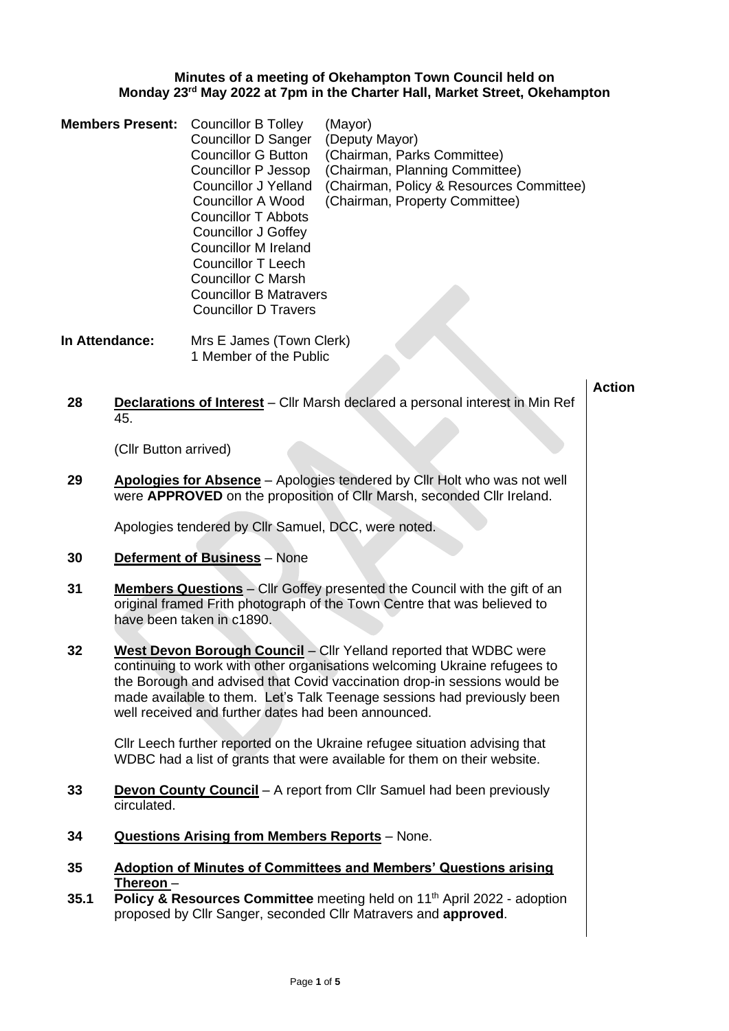## **Minutes of a meeting of Okehampton Town Council held on Monday 23rd May 2022 at 7pm in the Charter Hall, Market Street, Okehampton**

|                | <b>Members Present:</b> | <b>Councillor B Tolley</b><br><b>Councillor D Sanger</b><br><b>Councillor G Button</b><br>Councillor P Jessop<br><b>Councillor J Yelland</b><br><b>Councillor A Wood</b><br><b>Councillor T Abbots</b><br><b>Councillor J Goffey</b><br><b>Councillor M Ireland</b><br><b>Councillor T Leech</b><br><b>Councillor C Marsh</b><br><b>Councillor B Matravers</b><br><b>Councillor D Travers</b> | (Mayor)<br>(Deputy Mayor)<br>(Chairman, Parks Committee)<br>(Chairman, Planning Committee)<br>(Chairman, Policy & Resources Committee)<br>(Chairman, Property Committee)                                                                                                                              |               |
|----------------|-------------------------|-----------------------------------------------------------------------------------------------------------------------------------------------------------------------------------------------------------------------------------------------------------------------------------------------------------------------------------------------------------------------------------------------|-------------------------------------------------------------------------------------------------------------------------------------------------------------------------------------------------------------------------------------------------------------------------------------------------------|---------------|
| In Attendance: |                         | Mrs E James (Town Clerk)<br>1 Member of the Public                                                                                                                                                                                                                                                                                                                                            |                                                                                                                                                                                                                                                                                                       |               |
| 28             | 45.                     |                                                                                                                                                                                                                                                                                                                                                                                               | <b>Declarations of Interest</b> - Cllr Marsh declared a personal interest in Min Ref                                                                                                                                                                                                                  | <b>Action</b> |
|                | (Cllr Button arrived)   |                                                                                                                                                                                                                                                                                                                                                                                               |                                                                                                                                                                                                                                                                                                       |               |
| 29             |                         |                                                                                                                                                                                                                                                                                                                                                                                               | Apologies for Absence - Apologies tendered by Cllr Holt who was not well<br>were APPROVED on the proposition of Cllr Marsh, seconded Cllr Ireland.                                                                                                                                                    |               |
|                |                         | Apologies tendered by Cllr Samuel, DCC, were noted.                                                                                                                                                                                                                                                                                                                                           |                                                                                                                                                                                                                                                                                                       |               |
| 30             |                         | <b>Deferment of Business</b> - None                                                                                                                                                                                                                                                                                                                                                           |                                                                                                                                                                                                                                                                                                       |               |
| 31             |                         | have been taken in c1890.                                                                                                                                                                                                                                                                                                                                                                     | <b>Members Questions</b> – Cllr Goffey presented the Council with the gift of an<br>original framed Frith photograph of the Town Centre that was believed to                                                                                                                                          |               |
| 32             |                         | well received and further dates had been announced.                                                                                                                                                                                                                                                                                                                                           | West Devon Borough Council - Cllr Yelland reported that WDBC were<br>continuing to work with other organisations welcoming Ukraine refugees to<br>the Borough and advised that Covid vaccination drop-in sessions would be<br>made available to them. Let's Talk Teenage sessions had previously been |               |
|                |                         |                                                                                                                                                                                                                                                                                                                                                                                               | Cllr Leech further reported on the Ukraine refugee situation advising that<br>WDBC had a list of grants that were available for them on their website.                                                                                                                                                |               |
| 33             | circulated.             |                                                                                                                                                                                                                                                                                                                                                                                               | Devon County Council - A report from Cllr Samuel had been previously                                                                                                                                                                                                                                  |               |

- **34 Questions Arising from Members Reports** None.
- **35 Adoption of Minutes of Committees and Members' Questions arising Thereon** –
- **35.1 Policy & Resources Committee** meeting held on 11th April 2022 adoption proposed by Cllr Sanger, seconded Cllr Matravers and **approved**.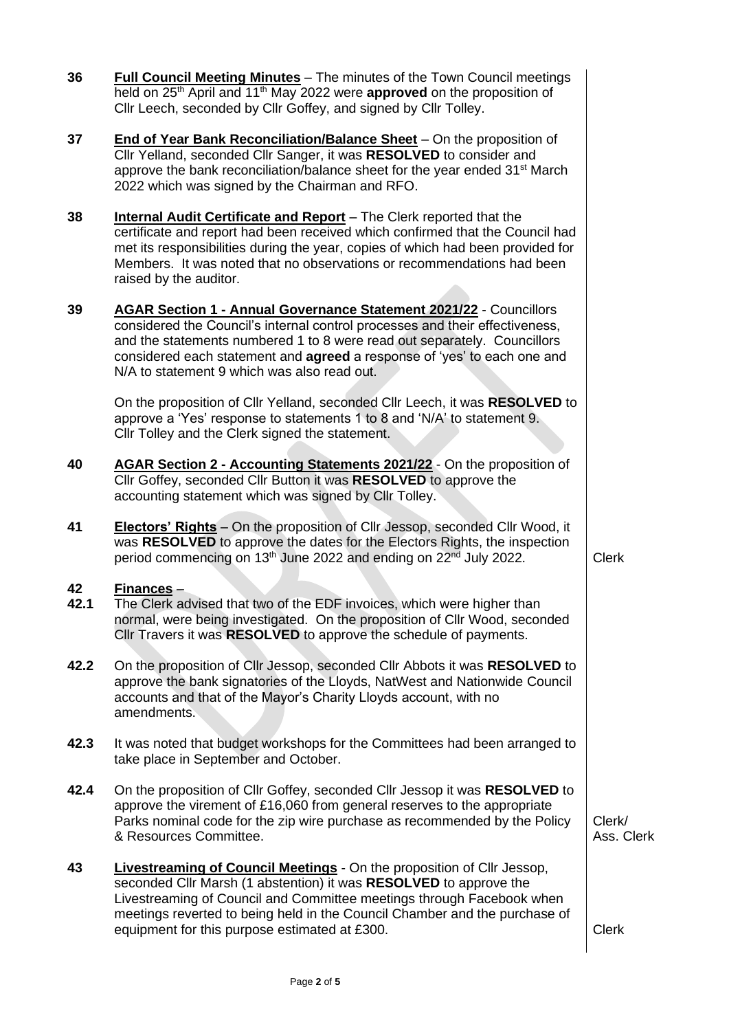| 36         | <b>Full Council Meeting Minutes</b> – The minutes of the Town Council meetings<br>held on 25 <sup>th</sup> April and 11 <sup>th</sup> May 2022 were <b>approved</b> on the proposition of<br>Cllr Leech, seconded by Cllr Goffey, and signed by Cllr Tolley.                                                                                               |                      |
|------------|------------------------------------------------------------------------------------------------------------------------------------------------------------------------------------------------------------------------------------------------------------------------------------------------------------------------------------------------------------|----------------------|
| 37         | End of Year Bank Reconciliation/Balance Sheet - On the proposition of<br>Cllr Yelland, seconded Cllr Sanger, it was RESOLVED to consider and<br>approve the bank reconciliation/balance sheet for the year ended 31 <sup>st</sup> March<br>2022 which was signed by the Chairman and RFO.                                                                  |                      |
| 38         | <b>Internal Audit Certificate and Report</b> - The Clerk reported that the<br>certificate and report had been received which confirmed that the Council had<br>met its responsibilities during the year, copies of which had been provided for<br>Members. It was noted that no observations or recommendations had been<br>raised by the auditor.         |                      |
| 39         | AGAR Section 1 - Annual Governance Statement 2021/22 - Councillors<br>considered the Council's internal control processes and their effectiveness,<br>and the statements numbered 1 to 8 were read out separately. Councillors<br>considered each statement and agreed a response of 'yes' to each one and<br>N/A to statement 9 which was also read out.  |                      |
|            | On the proposition of Cllr Yelland, seconded Cllr Leech, it was RESOLVED to<br>approve a 'Yes' response to statements 1 to 8 and 'N/A' to statement 9.<br>Cllr Tolley and the Clerk signed the statement.                                                                                                                                                  |                      |
| 40         | AGAR Section 2 - Accounting Statements 2021/22 - On the proposition of<br>Cllr Goffey, seconded Cllr Button it was RESOLVED to approve the<br>accounting statement which was signed by Cllr Tolley.                                                                                                                                                        |                      |
| 41         | <b>Electors' Rights</b> – On the proposition of Cllr Jessop, seconded Cllr Wood, it<br>was RESOLVED to approve the dates for the Electors Rights, the inspection<br>period commencing on 13 <sup>th</sup> June 2022 and ending on 22 <sup>nd</sup> July 2022.                                                                                              | <b>Clerk</b>         |
| 42<br>42.1 | <u>Finances</u> –<br>The Clerk advised that two of the EDF invoices, which were higher than<br>normal, were being investigated. On the proposition of Cllr Wood, seconded<br>Cllr Travers it was RESOLVED to approve the schedule of payments.                                                                                                             |                      |
| 42.2       | On the proposition of Cllr Jessop, seconded Cllr Abbots it was RESOLVED to<br>approve the bank signatories of the Lloyds, NatWest and Nationwide Council<br>accounts and that of the Mayor's Charity Lloyds account, with no<br>amendments.                                                                                                                |                      |
| 42.3       | It was noted that budget workshops for the Committees had been arranged to<br>take place in September and October.                                                                                                                                                                                                                                         |                      |
| 42.4       | On the proposition of Cllr Goffey, seconded Cllr Jessop it was RESOLVED to<br>approve the virement of £16,060 from general reserves to the appropriate<br>Parks nominal code for the zip wire purchase as recommended by the Policy<br>& Resources Committee.                                                                                              | Clerk/<br>Ass. Clerk |
| 43         | <b>Livestreaming of Council Meetings</b> - On the proposition of Cllr Jessop,<br>seconded Cllr Marsh (1 abstention) it was RESOLVED to approve the<br>Livestreaming of Council and Committee meetings through Facebook when<br>meetings reverted to being held in the Council Chamber and the purchase of<br>equipment for this purpose estimated at £300. | <b>Clerk</b>         |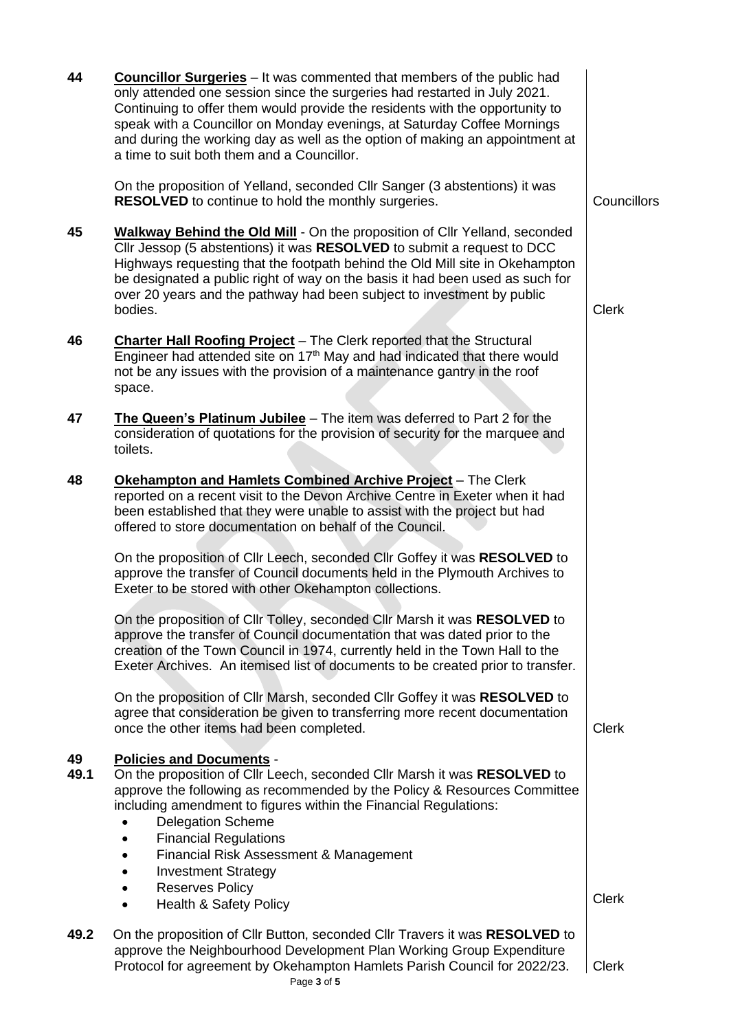| 44         | <b>Councillor Surgeries</b> - It was commented that members of the public had<br>only attended one session since the surgeries had restarted in July 2021.<br>Continuing to offer them would provide the residents with the opportunity to<br>speak with a Councillor on Monday evenings, at Saturday Coffee Mornings<br>and during the working day as well as the option of making an appointment at<br>a time to suit both them and a Councillor. |              |
|------------|-----------------------------------------------------------------------------------------------------------------------------------------------------------------------------------------------------------------------------------------------------------------------------------------------------------------------------------------------------------------------------------------------------------------------------------------------------|--------------|
|            | On the proposition of Yelland, seconded CIIr Sanger (3 abstentions) it was<br><b>RESOLVED</b> to continue to hold the monthly surgeries.                                                                                                                                                                                                                                                                                                            | Councillors  |
| 45         | Walkway Behind the Old Mill - On the proposition of Cllr Yelland, seconded<br>Cllr Jessop (5 abstentions) it was RESOLVED to submit a request to DCC<br>Highways requesting that the footpath behind the Old Mill site in Okehampton<br>be designated a public right of way on the basis it had been used as such for<br>over 20 years and the pathway had been subject to investment by public<br>bodies.                                          | <b>Clerk</b> |
| 46         | <b>Charter Hall Roofing Project</b> – The Clerk reported that the Structural<br>Engineer had attended site on 17 <sup>th</sup> May and had indicated that there would<br>not be any issues with the provision of a maintenance gantry in the roof<br>space.                                                                                                                                                                                         |              |
| 47         | The Queen's Platinum Jubilee - The item was deferred to Part 2 for the<br>consideration of quotations for the provision of security for the marquee and<br>toilets.                                                                                                                                                                                                                                                                                 |              |
| 48         | Okehampton and Hamlets Combined Archive Project - The Clerk<br>reported on a recent visit to the Devon Archive Centre in Exeter when it had<br>been established that they were unable to assist with the project but had<br>offered to store documentation on behalf of the Council.                                                                                                                                                                |              |
|            | On the proposition of Cllr Leech, seconded Cllr Goffey it was RESOLVED to<br>approve the transfer of Council documents held in the Plymouth Archives to<br>Exeter to be stored with other Okehampton collections.                                                                                                                                                                                                                                   |              |
|            | On the proposition of Cllr Tolley, seconded Cllr Marsh it was RESOLVED to<br>approve the transfer of Council documentation that was dated prior to the<br>creation of the Town Council in 1974, currently held in the Town Hall to the<br>Exeter Archives. An itemised list of documents to be created prior to transfer.                                                                                                                           |              |
|            | On the proposition of Cllr Marsh, seconded Cllr Goffey it was RESOLVED to<br>agree that consideration be given to transferring more recent documentation<br>once the other items had been completed.                                                                                                                                                                                                                                                | <b>Clerk</b> |
| 49<br>49.1 | <b>Policies and Documents -</b><br>On the proposition of Cllr Leech, seconded Cllr Marsh it was RESOLVED to<br>approve the following as recommended by the Policy & Resources Committee<br>including amendment to figures within the Financial Regulations:<br><b>Delegation Scheme</b><br><b>Financial Regulations</b><br>Financial Risk Assessment & Management<br><b>Investment Strategy</b>                                                     |              |
|            | <b>Reserves Policy</b><br><b>Health &amp; Safety Policy</b>                                                                                                                                                                                                                                                                                                                                                                                         | <b>Clerk</b> |
| 49.2       | On the proposition of Cllr Button, seconded Cllr Travers it was RESOLVED to<br>approve the Neighbourhood Development Plan Working Group Expenditure<br>Protocol for agreement by Okehampton Hamlets Parish Council for 2022/23.<br>Page 3 of 5                                                                                                                                                                                                      | <b>Clerk</b> |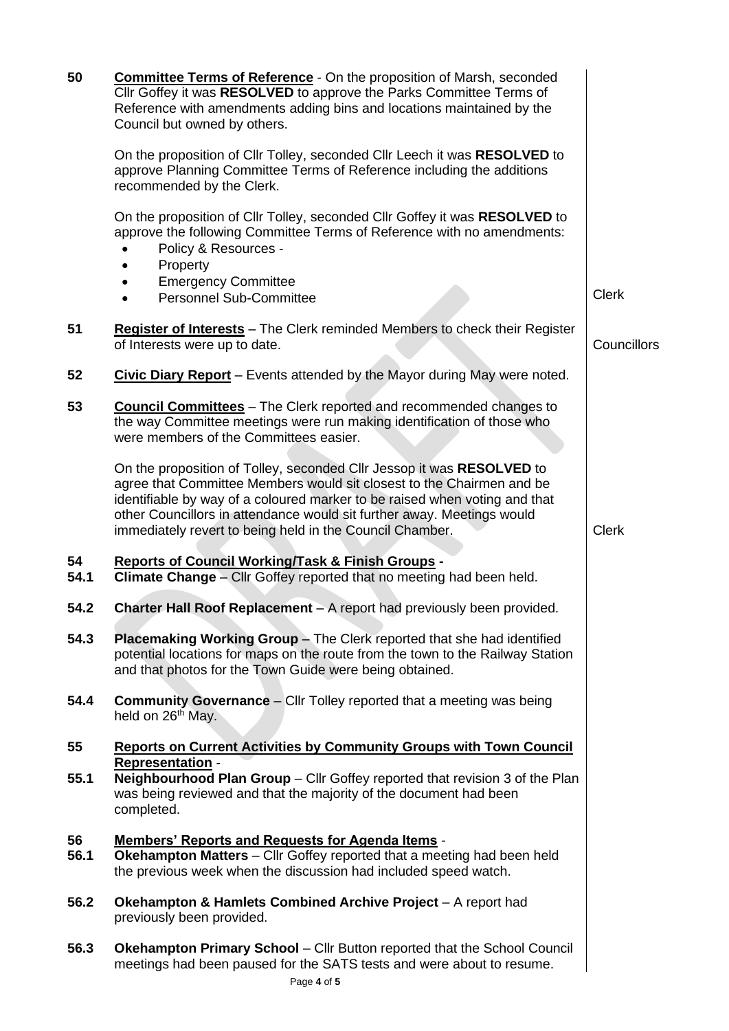| 50         | <b>Committee Terms of Reference</b> - On the proposition of Marsh, seconded<br>Cllr Goffey it was RESOLVED to approve the Parks Committee Terms of<br>Reference with amendments adding bins and locations maintained by the<br>Council but owned by others.                                                                                                        |              |
|------------|--------------------------------------------------------------------------------------------------------------------------------------------------------------------------------------------------------------------------------------------------------------------------------------------------------------------------------------------------------------------|--------------|
|            | On the proposition of Cllr Tolley, seconded Cllr Leech it was RESOLVED to<br>approve Planning Committee Terms of Reference including the additions<br>recommended by the Clerk.                                                                                                                                                                                    |              |
|            | On the proposition of Cllr Tolley, seconded Cllr Goffey it was RESOLVED to<br>approve the following Committee Terms of Reference with no amendments:<br>Policy & Resources -<br>Property<br><b>Emergency Committee</b><br>$\bullet$                                                                                                                                |              |
|            | <b>Personnel Sub-Committee</b><br>$\bullet$                                                                                                                                                                                                                                                                                                                        | <b>Clerk</b> |
| 51         | Register of Interests - The Clerk reminded Members to check their Register<br>of Interests were up to date.                                                                                                                                                                                                                                                        | Councillors  |
| 52         | Civic Diary Report - Events attended by the Mayor during May were noted.                                                                                                                                                                                                                                                                                           |              |
| 53         | <b>Council Committees</b> - The Clerk reported and recommended changes to<br>the way Committee meetings were run making identification of those who<br>were members of the Committees easier.                                                                                                                                                                      |              |
|            | On the proposition of Tolley, seconded Cllr Jessop it was RESOLVED to<br>agree that Committee Members would sit closest to the Chairmen and be<br>identifiable by way of a coloured marker to be raised when voting and that<br>other Councillors in attendance would sit further away. Meetings would<br>immediately revert to being held in the Council Chamber. | <b>Clerk</b> |
| 54<br>54.1 | <b>Reports of Council Working/Task &amp; Finish Groups -</b><br>Climate Change - Cllr Goffey reported that no meeting had been held.                                                                                                                                                                                                                               |              |
| 54.2       | Charter Hall Roof Replacement - A report had previously been provided.                                                                                                                                                                                                                                                                                             |              |
| 54.3       | Placemaking Working Group - The Clerk reported that she had identified<br>potential locations for maps on the route from the town to the Railway Station<br>and that photos for the Town Guide were being obtained.                                                                                                                                                |              |
| 54.4       | <b>Community Governance</b> - Cllr Tolley reported that a meeting was being<br>held on 26 <sup>th</sup> May.                                                                                                                                                                                                                                                       |              |
| 55         | <b>Reports on Current Activities by Community Groups with Town Council</b><br><b>Representation -</b>                                                                                                                                                                                                                                                              |              |
| 55.1       | <b>Neighbourhood Plan Group - Cllr Goffey reported that revision 3 of the Plan</b><br>was being reviewed and that the majority of the document had been<br>completed.                                                                                                                                                                                              |              |
| 56<br>56.1 | <b>Members' Reports and Requests for Agenda Items -</b><br>Okehampton Matters - Cllr Goffey reported that a meeting had been held<br>the previous week when the discussion had included speed watch.                                                                                                                                                               |              |
| 56.2       | Okehampton & Hamlets Combined Archive Project - A report had<br>previously been provided.                                                                                                                                                                                                                                                                          |              |
| 56.3       | <b>Okehampton Primary School</b> - Cllr Button reported that the School Council<br>meetings had been paused for the SATS tests and were about to resume.                                                                                                                                                                                                           |              |